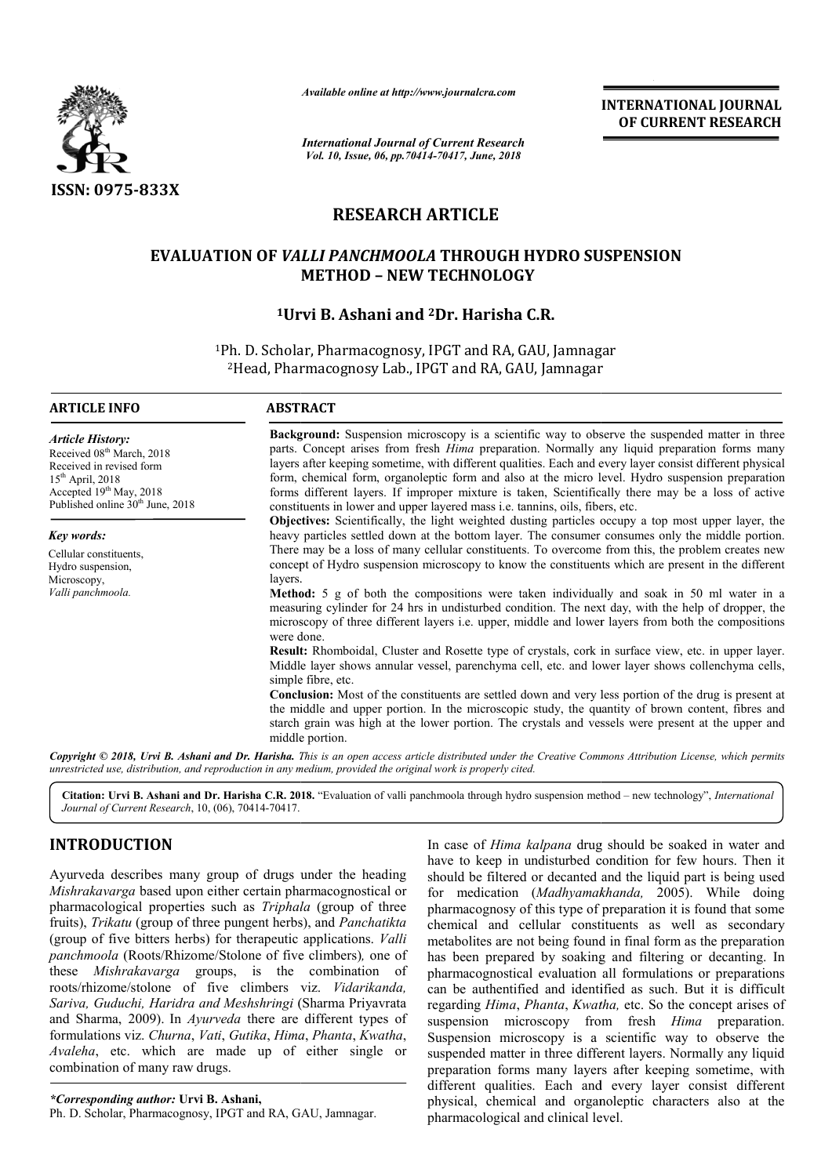

*Available online at http://www.journalcra.com*

*International Journal of Current Research Vol. 10, Issue, 06, pp.70414-70417, June, 2018*

**INTERNATIONAL JOURNAL OF CURRENT RESEARCH**

# **RESEARCH ARTICLE**

## **EVALUATION OF** *VALLI PANCHMOOLA*  **THROUGH HYDRO SUSPENSION METHOD – NEW TECHNOLOGY**

## <sup>1</sup>Urvi B. Ashani and <sup>2</sup>Dr. Harisha C.R.

<sup>1</sup>Ph. D. Scholar, Pharmacognosy, IPGT and RA, GAU, Jamnagar 'h. D. Scholar, Pharmacognosy, IPGT and RA, GAU, Jamnag<br><sup>2</sup>Head, Pharmacognosy Lab., IPGT and RA, GAU, Jamnagar

| <b>Article History:</b>               |  |
|---------------------------------------|--|
| Received 08 <sup>th</sup> March, 2018 |  |
| Received in revised form              |  |
| $15th$ April, 2018                    |  |

Accepted 19<sup>th</sup> May, 2018 Published online  $30<sup>th</sup>$  June, 2018

*Key words:*

Cellular constituents, Hydro suspension, Microscopy, *Valli panchmoola.*

**ARTICLE INFO ABSTRACT**

**Background:** Suspension microscopy is a scientific way to observe the suspended matter in three parts. Concept arises from fresh *Hima* preparation. Normally any liquid preparation forms many layers after keeping sometime, with different qualities. Each and every layer consist different physical form, chemical form, organoleptic form and also at the micro level. Hydro suspension preparati forms different layers. If improper mixture is taken, Scientifically there may be a loss of active constituents in lower and upper layered mass i.e. tannins, oils, fibers, etc. **round:** Suspension microscopy is a scientific way to observe the suspended matter in three Concept arises from fresh *Hima* preparation. Normally any liquid preparation forms many after keeping sometime, with different qu

**Objectives:** Scientifically, the light weighted dusting particles occupy a top most upper layer, the heavy particles settled down at the bottom layer. The consumer consumes only the middle portion. There may be a loss of many cellular constituents. To overcome from this, the problem creates new concept of Hydro suspension microscopy to know the constituents which are present in the different layers. ifferent layers. If improper mixture is taken, Scientifically there may be a loss of active<br>ents in lower and upper layered mass i.e. tannins, oils, fibers, etc.<br>ves: Scientifically, the light weighted dusting particles oc

**Method:** 5 g of both the compositions were taken individually and soak in 50 ml water in a measuring cylinder for 24 hrs in undisturbed condition. The next day, with the help of dropper, the microscopy of three different layers i.e. upper, middle and lower layers from both the compositions were done.

Result: Rhomboidal, Cluster and Rosette type of crystals, cork in surface view, etc. in upper layer. Middle layer shows annular vessel, parenchyma cell, etc. and lower layer shows collenchyma cells, simple fibre, etc.

**Conclusion:** Most of the constituents are settled down and very less portion of the drug is present at the middle and upper portion. In the microscopic study, the quantity of brown content, fibres and starch grain was high at the lower portion. The crystals and vessels were present at the upper and middle portion. Rhomboidal, Cluster and Rosette type of crystals, cork in surface view, etc. in upper layer.<br>layer shows annular vessel, parenchyma cell, etc. and lower layer shows collenchyma cells,<br>ibre, etc.<br>**ion:** Most of the constitu

Copyright © 2018, Urvi B. Ashani and Dr. Harisha. This is an open access article distributed under the Creative Commons Attribution License, which permits *unrestricted use, distribution, and reproduction in any medium, provided the original work is properly cited.*

Citation: Urvi B. Ashani and Dr. Harisha C.R. 2018. "Evaluation of valli panchmoola through hydro suspension method – new technology", *International Journal of Current Research*, 10, (06), 70414-70417.

## **INTRODUCTION**

Ayurveda describes many group of drugs under the heading *Mishrakavarga* based upon either certain pharmacognostical or pharmacological properties such as *Triphala*  (group of three fruits), *Trikatu* (group of three pungent herbs), and *Panchatikta*  (group of five bitters herbs) for therapeutic applications. *Valli panchmoola* (Roots/Rhizome/Stolone of five climbers) *,* one of these *Mishrakavarga* groups, is the combination of roots/rhizome/stolone of five climbers viz. *Vidarikanda, Sariva, Guduchi, Haridra and Meshshringi* ( (Sharma Priyavrata and Sharma, 2009). In *Ayurveda* there are different types of formulations viz. *Churna*, *Vati*, *Gutika*, *Hima* , *Phanta*, *Kwatha*, *Avaleha*, etc. which are made up of either single or combination of many raw drugs.

In case of *Hima kalpana* drug should be soaked in water and have to keep in undisturbed condition for few hours. Then it have to keep in undisturbed condition for few hours. Then it should be filtered or decanted and the liquid part is being used for medication (Madhyamakhanda, 2005). While doing pharmacognosy of this type of preparation it is found that some chemical and cellular constituents as well as secondary metabolites are not being found in final form as the preparation has been prepared by soaking and filtering or decanting. In pharmacognostical evaluation all formulations or preparations can be authentified and identified as such. But it is difficult regarding *Hima*, *Phanta*, *Kwatha,* etc. So the concept arises of suspension microscopy from fresh *Hima* preparation. Suspension microscopy is a scientific way to observe the suspended matter in three different layers. Normally any liquid preparation forms many layers after keeping sometime, with different qualities. Each and every layer consist different physical, chemical and organoleptic characters also at th pharmacological and clinical level. pharmacognosy of this type of preparation it is found<br>chemical and cellular constituents as well as<br>metabolites are not being found in final form as the p<br>has been prepared by soaking and filtering or dec<br>pharmacognostical matter in three different layers. Normally any liquid<br>n forms many layers after keeping sometime, with<br>qualities. Each and every layer consist different<br>chemical and organoleptic characters also at the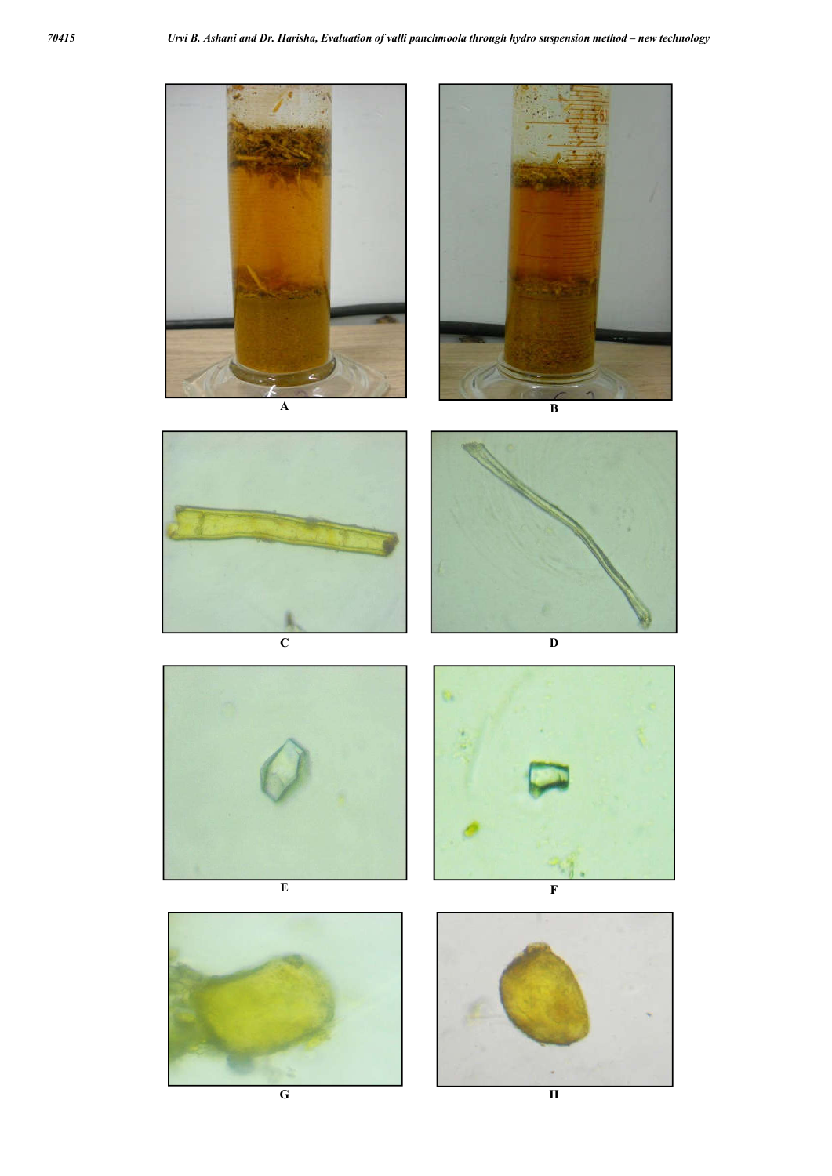

**G H**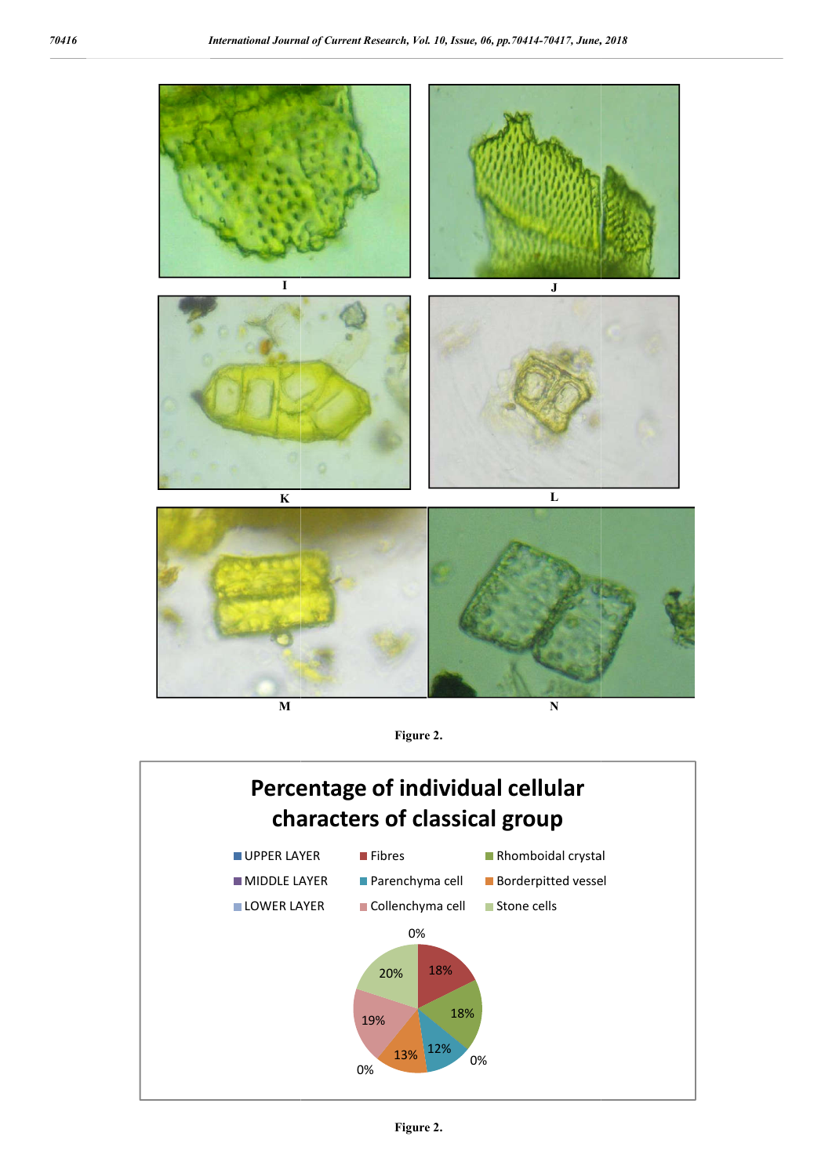

**M**

**N**